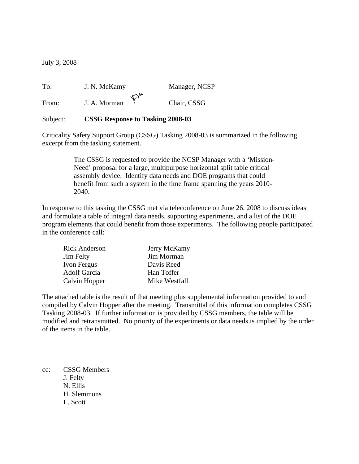July 3, 2008

To: J. N. McKamy Manager, NCSP From: J. A. Morman  $\varphi^{\mu}$  Chair, CSSG

## Subject: **CSSG Response to Tasking 2008-03**

Criticality Safety Support Group (CSSG) Tasking 2008-03 is summarized in the following excerpt from the tasking statement.

> The CSSG is requested to provide the NCSP Manager with a 'Mission-Need' proposal for a large, multipurpose horizontal split table critical assembly device. Identify data needs and DOE programs that could benefit from such a system in the time frame spanning the years 2010- 2040.

In response to this tasking the CSSG met via teleconference on June 26, 2008 to discuss ideas and formulate a table of integral data needs, supporting experiments, and a list of the DOE program elements that could benefit from those experiments. The following people participated in the conference call:

| <b>Rick Anderson</b> | Jerry McKamy  |
|----------------------|---------------|
| <b>Jim Felty</b>     | Jim Morman    |
| Ivon Fergus          | Davis Reed    |
| <b>Adolf Garcia</b>  | Han Toffer    |
| Calvin Hopper        | Mike Westfall |

The attached table is the result of that meeting plus supplemental information provided to and compiled by Calvin Hopper after the meeting. Transmittal of this information completes CSSG Tasking 2008-03. If further information is provided by CSSG members, the table will be modified and retransmitted. No priority of the experiments or data needs is implied by the order of the items in the table.

cc: CSSG Members J. Felty N. Ellis H. Slemmons L. Scott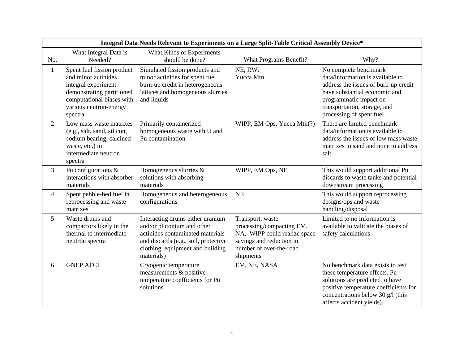| Integral Data Needs Relevant to Experiments on a Large Split-Table Critical Assembly Device* |                                                                                                                                                                         |                                                                                                                                                                                              |                                                                                                                                                   |                                                                                                                                                                                                                          |
|----------------------------------------------------------------------------------------------|-------------------------------------------------------------------------------------------------------------------------------------------------------------------------|----------------------------------------------------------------------------------------------------------------------------------------------------------------------------------------------|---------------------------------------------------------------------------------------------------------------------------------------------------|--------------------------------------------------------------------------------------------------------------------------------------------------------------------------------------------------------------------------|
| No.                                                                                          | What Integral Data is<br>Needed?                                                                                                                                        | What Kinds of Experiments<br>should be done?                                                                                                                                                 | What Programs Benefit?                                                                                                                            | Why?                                                                                                                                                                                                                     |
| $\mathbf{1}$                                                                                 | Spent fuel fission product<br>and minor actinides<br>integral experiment<br>demonstrating partitioned<br>computational biases with<br>various neutron-energy<br>spectra | Simulated fission products and<br>minor actinides for spent fuel<br>burn-up credit in heterogeneous<br>lattices and homogeneous slurries<br>and liquids                                      | NE, RW,<br>Yucca Mtn                                                                                                                              | No complete benchmark<br>data/information is available to<br>address the issues of burn-up credit<br>have substantial economic and<br>programmatic impact on<br>transportation, storage, and<br>processing of spent fuel |
| $\overline{2}$                                                                               | Low mass waste matrixes<br>(e.g., salt, sand, silicon,<br>sodium bearing, calcined<br>waste, etc.) in<br>intermediate neutron<br>spectra                                | Primarily containerized<br>homogeneous waste with U and<br>Pu contamination                                                                                                                  | WIPP, EM Ops, Yucca Mtn(?)                                                                                                                        | There are limited benchmark<br>data/information is available to<br>address the issues of low mass waste<br>matrixes in sand and none to address<br>salt                                                                  |
| 3                                                                                            | Pu configurations $\&$<br>interactions with absorber<br>materials                                                                                                       | Homogeneous slurries &<br>solutions with absorbing<br>materials                                                                                                                              | WIPP, EM Ops, NE                                                                                                                                  | This would support additional Pu<br>discards to waste tanks and potential<br>downstream processing                                                                                                                       |
| $\overline{4}$                                                                               | Spent pebble-bed fuel in<br>reprocessing and waste<br>matrixes                                                                                                          | Homogeneous and heterogeneous<br>configurations                                                                                                                                              | NE                                                                                                                                                | This would support reprocessing<br>designs/ops and waste<br>handling/disposal                                                                                                                                            |
| 5                                                                                            | Waste drums and<br>compactors likely in the<br>thermal to intermediate<br>neutron spectra                                                                               | Interacting drums either uranium<br>and/or plutonium and other<br>actinides contaminated materials<br>and discards (e.g., soil, protective<br>clothing, equipment and building<br>materials) | Transport, waste<br>processing/compacting EM,<br>NA, WIPP could realize space<br>savings and reduction in<br>number of over-the-road<br>shipments | Limited to no information is<br>available to validate the biases of<br>safety calculations                                                                                                                               |
| 6                                                                                            | <b>GNEP AFCI</b>                                                                                                                                                        | Cryogenic temperature<br>measurements & positive<br>temperature coefficients for Pu<br>solutions                                                                                             | EM, NE, NASA                                                                                                                                      | No benchmark data exists to test<br>these temperature effects. Pu<br>solutions are predicted to have<br>positive temperature coefficients for<br>concentrations below 30 g/l (this<br>affects accident yields).          |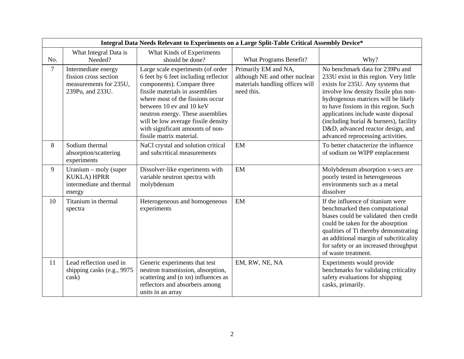|                | Integral Data Needs Relevant to Experiments on a Large Split-Table Critical Assembly Device* |                                                                                                                                                                                                                                                                                                                                                       |                                                                                                        |                                                                                                                                                                                                                                                                                                                                                                                                    |
|----------------|----------------------------------------------------------------------------------------------|-------------------------------------------------------------------------------------------------------------------------------------------------------------------------------------------------------------------------------------------------------------------------------------------------------------------------------------------------------|--------------------------------------------------------------------------------------------------------|----------------------------------------------------------------------------------------------------------------------------------------------------------------------------------------------------------------------------------------------------------------------------------------------------------------------------------------------------------------------------------------------------|
| No.            | What Integral Data is<br>Needed?                                                             | What Kinds of Experiments<br>should be done?                                                                                                                                                                                                                                                                                                          | What Programs Benefit?                                                                                 | Why?                                                                                                                                                                                                                                                                                                                                                                                               |
| $\overline{7}$ | Intermediate energy<br>fission cross section<br>measurements for 235U,<br>239Pu, and 233U.   | Large scale experiments (of order<br>6 feet by 6 feet including reflector<br>components). Compare three<br>fissile materials in assemblies<br>where most of the fissions occur<br>between 10 ev and 10 keV<br>neutron energy. These assemblies<br>will be low average fissile density<br>with significant amounts of non-<br>fissile matrix material. | Primarily EM and NA,<br>although NE and other nuclear<br>materials handling offices will<br>need this. | No benchmark data for 239Pu and<br>233U exist in this region. Very little<br>exists for 235U. Any systems that<br>involve low density fissile plus non-<br>hydrogenous matrices will be likely<br>to have fissions in this region. Such<br>applications include waste disposal<br>(including burial & burners), facility<br>D&D, advanced reactor design, and<br>advanced reprocessing activities. |
| 8              | Sodium thermal<br>absorption/scattering<br>experiments                                       | NaCl crystal and solution critical<br>and subcritical measurements                                                                                                                                                                                                                                                                                    | EM                                                                                                     | To better chatacterize the influence<br>of sodium on WIPP emplacement                                                                                                                                                                                                                                                                                                                              |
| 9              | Uranium $-$ moly (super<br><b>KUKLA) HPRR</b><br>intermediate and thermal<br>energy          | Dissolver-like experiments with<br>variable neutron spectra with<br>molybdenum                                                                                                                                                                                                                                                                        | EM                                                                                                     | Molybdenum absorption x-secs are<br>poorly tested in heterogeneous<br>environments such as a metal<br>dissolver                                                                                                                                                                                                                                                                                    |
| 10             | Titanium in thermal<br>spectra                                                               | Heterogeneous and homogeneous<br>experiments                                                                                                                                                                                                                                                                                                          | EM                                                                                                     | If the influence of titanium were<br>benchmarked then computational<br>biases could be validated then credit<br>could be taken for the abosrption<br>qualities of Ti thereby demonstrating<br>an additional margin of subcriticality<br>for safety or an increased throughput<br>of waste treatment.                                                                                               |
| 11             | Lead reflection used in<br>shipping casks (e.g., 9975)<br>cask)                              | Generic experiments that test<br>neutron transmission, absorption,<br>scattering and (n xn) influences as<br>reflectors and absorbers among<br>units in an array                                                                                                                                                                                      | EM, RW, NE, NA                                                                                         | Experiments would provide<br>benchmarks for validating criticality<br>safety evaluations for shipping<br>casks, primarily.                                                                                                                                                                                                                                                                         |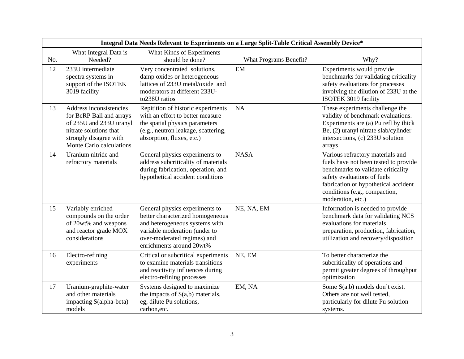|     | Integral Data Needs Relevant to Experiments on a Large Split-Table Critical Assembly Device*                                                                   |                                                                                                                                                                                                  |                        |                                                                                                                                                                                                                                              |
|-----|----------------------------------------------------------------------------------------------------------------------------------------------------------------|--------------------------------------------------------------------------------------------------------------------------------------------------------------------------------------------------|------------------------|----------------------------------------------------------------------------------------------------------------------------------------------------------------------------------------------------------------------------------------------|
| No. | What Integral Data is<br>Needed?                                                                                                                               | What Kinds of Experiments<br>should be done?                                                                                                                                                     | What Programs Benefit? | Why?                                                                                                                                                                                                                                         |
| 12  | 233U intermediate<br>spectra systems in<br>support of the ISOTEK<br>3019 facility                                                                              | Very concentrated solutions,<br>damp oxides or heterogeneous<br>lattices of 233U metal/oxide and<br>moderators at different 233U-<br>to238U ratios                                               | EM                     | Experiments would provide<br>benchmarks for validating criticality<br>safety evaluations for processes<br>involving the dilution of 233U at the<br>ISOTEK 3019 facility                                                                      |
| 13  | Address inconsistencies<br>for BeRP Ball and arrays<br>of 235U and 233U uranyl<br>nitrate solutions that<br>strongly disagree with<br>Monte Carlo calculations | Repitition of historic experiments<br>with an effort to better measure<br>the spatial physics parameters<br>(e.g., neutron leakage, scattering,<br>absorption, fluxes, etc.)                     | <b>NA</b>              | These experiments challenge the<br>validity of benchmark evaluations.<br>Experiments are (a) Pu refl by thick<br>Be, (2) uranyl nitrate slab/cylinder<br>intersections, (c) 233U solution<br>arrays.                                         |
| 14  | Uranium nitride and<br>refractory materials                                                                                                                    | General physics experiments to<br>address subcriticality of materials<br>during fabrication, operation, and<br>hypothetical accident conditions                                                  | <b>NASA</b>            | Various refractory materials and<br>fuels have not been tested to provide<br>benchmarks to validate criticality<br>safety evaluations of fuels<br>fabrication or hypothetical accident<br>conditions (e.g., compaction,<br>moderation, etc.) |
| 15  | Variably enriched<br>compounds on the order<br>of 20wt% and weapons<br>and reactor grade MOX<br>considerations                                                 | General physics experiments to<br>better characterized homogeneous<br>and heterogeneous systems with<br>variable moderation (under to<br>over-moderated regimes) and<br>enrichments around 20wt% | NE, NA, EM             | Information is needed to provide<br>benchmark data for validating NCS<br>evaluations for materials<br>preparation, production, fabrication,<br>utilization and recovery/disposition                                                          |
| 16  | Electro-refining<br>experiments                                                                                                                                | Critical or subcritical experiments<br>to examine materials transitions<br>and reactivity influences during<br>electro-refining processes                                                        | NE, EM                 | To better characterize the<br>subcriticality of operations and<br>permit greater degrees of throughput<br>optimization                                                                                                                       |
| 17  | Uranium-graphite-water<br>and other materials<br>impacting S(alpha-beta)<br>models                                                                             | Systems designed to maximize<br>the impacts of $S(a,b)$ materials,<br>eg, dilute Pu solutions,<br>carbon, etc.                                                                                   | EM, NA                 | Some S(a.b) models don't exist.<br>Others are not well tested,<br>particularly for dilute Pu solution<br>systems.                                                                                                                            |